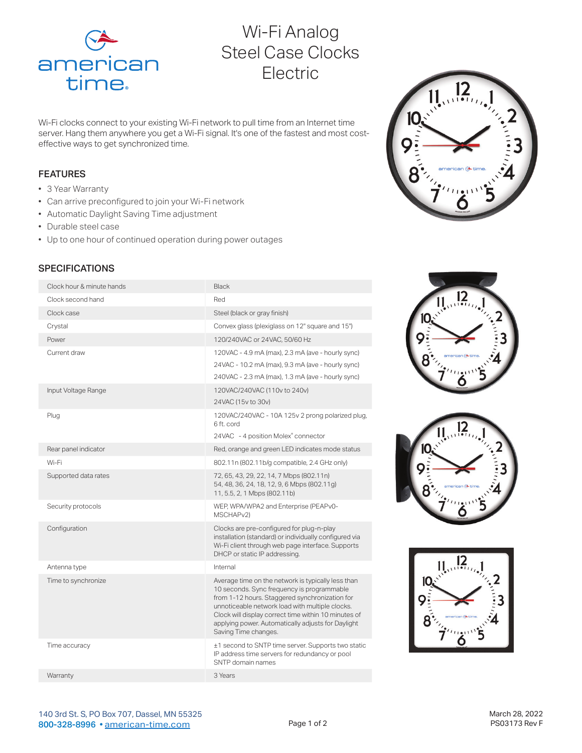

# Wi-Fi Analog Steel Case Clocks Electric

Wi-Fi clocks connect to your existing Wi-Fi network to pull time from an Internet time server. Hang them anywhere you get a Wi-Fi signal. It's one of the fastest and most costeffective ways to get synchronized time.

### FEATURES

- 3 Year Warranty
- Can arrive preconfigured to join your Wi-Fi network
- Automatic Daylight Saving Time adjustment
- Durable steel case
- Up to one hour of continued operation during power outages

# **SPECIFICATIONS**

| Clock hour & minute hands | Black                                                                                                                                                                                                                                                                                                                                       |
|---------------------------|---------------------------------------------------------------------------------------------------------------------------------------------------------------------------------------------------------------------------------------------------------------------------------------------------------------------------------------------|
| Clock second hand         | Red                                                                                                                                                                                                                                                                                                                                         |
| Clock case                | Steel (black or gray finish)                                                                                                                                                                                                                                                                                                                |
| Crystal                   | Convex glass (plexiglass on 12" square and 15")                                                                                                                                                                                                                                                                                             |
| Power                     | 120/240VAC or 24VAC, 50/60 Hz                                                                                                                                                                                                                                                                                                               |
| Current draw              | 120VAC - 4.9 mA (max), 2.3 mA (ave - hourly sync)<br>24VAC - 10.2 mA (max), 9.3 mA (ave - hourly sync)<br>240VAC - 2.3 mA (max), 1.3 mA (ave - hourly sync)                                                                                                                                                                                 |
| Input Voltage Range       | 120VAC/240VAC (110v to 240v)                                                                                                                                                                                                                                                                                                                |
|                           | 24VAC (15v to 30v)                                                                                                                                                                                                                                                                                                                          |
| Plug                      | 120VAC/240VAC - 10A 125v 2 prong polarized plug,<br>6 ft. cord                                                                                                                                                                                                                                                                              |
|                           | 24VAC - 4 position Molex® connector                                                                                                                                                                                                                                                                                                         |
| Rear panel indicator      | Red, orange and green LED indicates mode status                                                                                                                                                                                                                                                                                             |
| Wi-Fi                     | 802.11n (802.11b/g compatible, 2.4 GHz only)                                                                                                                                                                                                                                                                                                |
| Supported data rates      | 72, 65, 43, 29, 22, 14, 7 Mbps (802.11n)<br>54, 48, 36, 24, 18, 12, 9, 6 Mbps (802.11g)<br>11, 5.5, 2, 1 Mbps (802.11b)                                                                                                                                                                                                                     |
| Security protocols        | WEP, WPA/WPA2 and Enterprise (PEAPv0-<br>MSCHAP <sub>v2</sub> )                                                                                                                                                                                                                                                                             |
| Configuration             | Clocks are pre-configured for plug-n-play<br>installation (standard) or individually configured via<br>Wi-Fi client through web page interface. Supports<br>DHCP or static IP addressing.                                                                                                                                                   |
| Antenna type              | Internal                                                                                                                                                                                                                                                                                                                                    |
| Time to synchronize       | Average time on the network is typically less than<br>10 seconds. Sync frequency is programmable<br>from 1-12 hours. Staggered synchronization for<br>unnoticeable network load with multiple clocks.<br>Clock will display correct time within 10 minutes of<br>applying power. Automatically adjusts for Daylight<br>Saving Time changes. |
| Time accuracy             | ±1 second to SNTP time server. Supports two static<br>IP address time servers for redundancy or pool<br>SNTP domain names                                                                                                                                                                                                                   |
| Warranty                  | 3 Years                                                                                                                                                                                                                                                                                                                                     |
|                           |                                                                                                                                                                                                                                                                                                                                             |